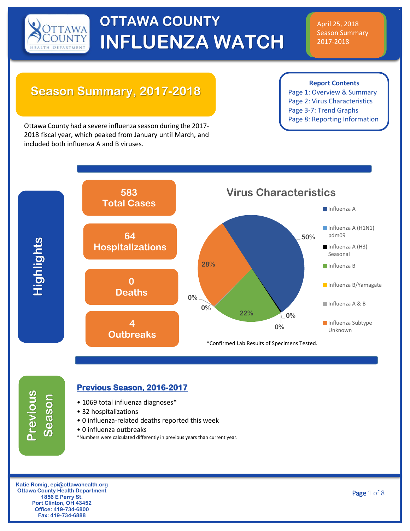

#### April 25, 2018 Season Summary 2017-2018

### **Season Summary, 2017-2018**

**Report Contents**

Page 1: Overview & Summary Page 2: Virus Characteristics Page 3-7: Trend Graphs Page 8: Reporting Information

Ottawa County had a severe influenza season during the 2017- 2018 fiscal year, which peaked from January until March, and included both influenza A and B viruses.



# **Previous Season**

#### **Previous Season, 2016-2017**

- 1069 total influenza diagnoses\*
- 32 hospitalizations
- 0 influenza-related deaths reported this week
- 0 influenza outbreaks
- \*Numbers were calculated differently in previous years than current year.

**Katie Romig, epi@ottawahealth.org Ottawa County Health Department 1856 E Perry St. Port Clinton, OH 43452 Office: 419-734-6800 Fax: 419-734-6888**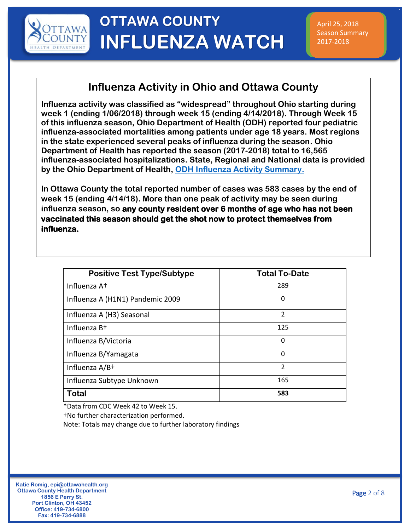

#### **Influenza Activity in Ohio and Ottawa County**

**Influenza activity was classified as "widespread" throughout Ohio starting during week 1 (ending 1/06/2018) through week 15 (ending 4/14/2018). Through Week 15 of this influenza season, Ohio Department of Health (ODH) reported four pediatric influenza-associated mortalities among patients under age 18 years. Most regions in the state experienced several peaks of influenza during the season. Ohio Department of Health has reported the season (2017-2018) total to 16,565 influenza-associated hospitalizations. State, Regional and National data is provided by the Ohio Department of Health, [ODH Influenza Activity Summary.](https://www.odh.ohio.gov/en/seasflu/Ohio-Flu-Activity)**

**In Ottawa County the total reported number of cases was 583 cases by the end of week 15 (ending 4/14/18). More than one peak of activity may be seen during influenza season, so any county resident over 6 months of age who has not been vaccinated this season should get the shot now to protect themselves from influenza.** 

| <b>Positive Test Type/Subtype</b> | <b>Total To-Date</b> |
|-----------------------------------|----------------------|
| Influenza A <sup>+</sup>          | 289                  |
| Influenza A (H1N1) Pandemic 2009  | 0                    |
| Influenza A (H3) Seasonal         | $\overline{2}$       |
| Influenza B <sup>+</sup>          | 125                  |
| Influenza B/Victoria              | 0                    |
| Influenza B/Yamagata              | 0                    |
| Influenza A/B+                    | $\mathcal{P}$        |
| Influenza Subtype Unknown         | 165                  |
| Total                             | 583                  |

\*Data from CDC Week 42 to Week 15.

†No further characterization performed.

Note: Totals may change due to further laboratory findings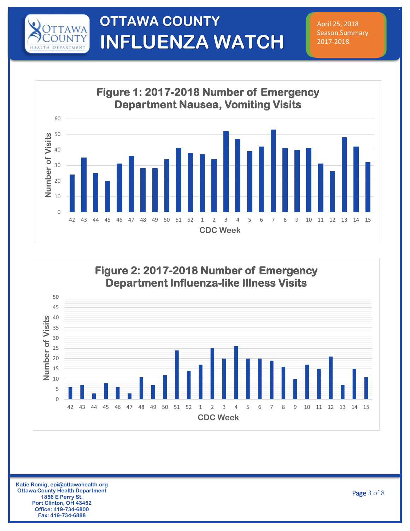

April 25, 2018 Season Summary 2017-2018





**Katie Romig, epi@ottawahealth.org Ottawa County Health Department 1856 E Perry St. Port Clinton, OH 43452 Office: 419-734-6800 Fax: 419-734-6888**

Page 3 of 8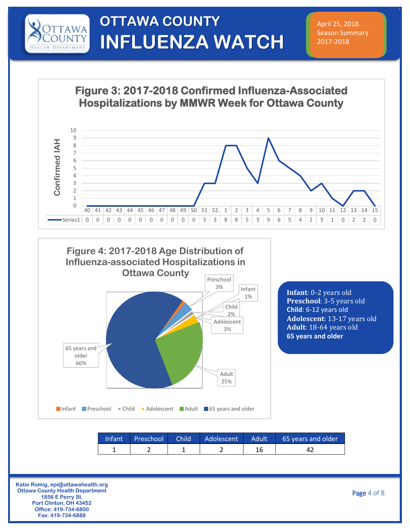

April 25, 2018 Season Summary 2017-2018

**Figure 3: 2017-2018 Confirmed Influenza-Associated Hospitalizations by MMWR Week for Ottawa County**





**Katie Romig, epi@ottawahealth.org Ottawa County Health Department 1856 E Perry St. Port Clinton, OH 43452 Office: 419-734-6800 Fax: 419-734-6888**

Page 4 of 8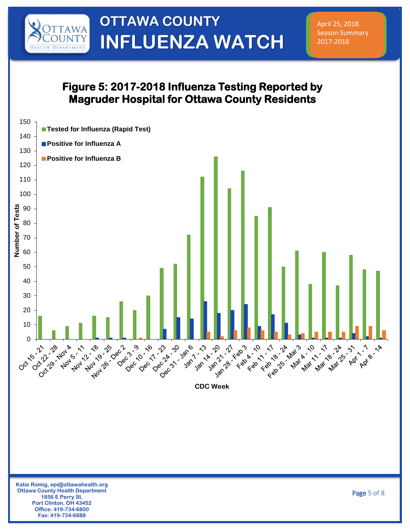

April 25, 2018 Season Summary 2017-2018

#### **Figure 5: 2017-2018 Influenza Testing Reported by Magruder Hospital for Ottawa County Residents**

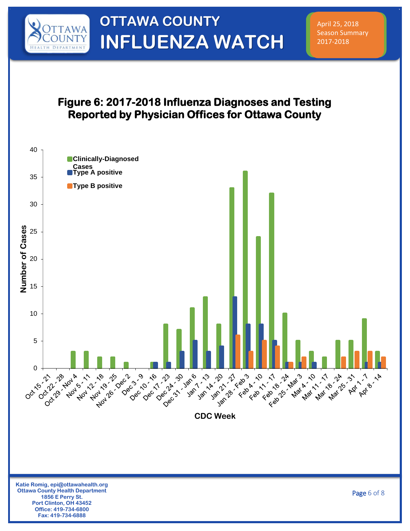

April 25, 2018 Season Summary 2017-2018

#### **Figure 6: 2017-2018 Influenza Diagnoses and Testing Reported by Physician Offices for Ottawa County**

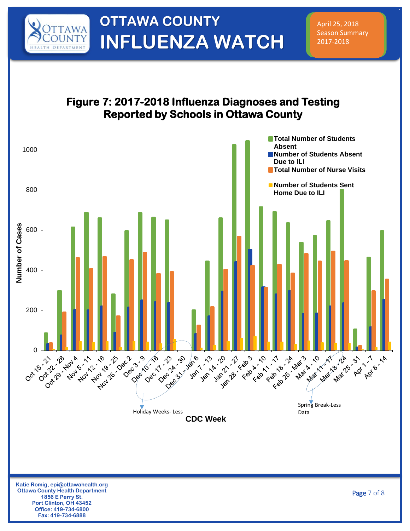

April 25, 2018 Season Summary 2017-2018

#### **Figure 7: 2017-2018 Influenza Diagnoses and Testing Reported by Schools in Ottawa County**